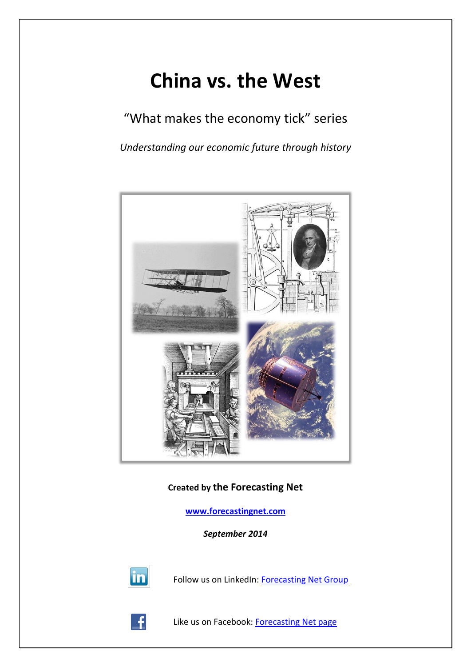# **China vs. the West**

"What makes the economy tick" series

*Understanding our economic future through history*



**Created by the Forecasting Net**

**[www.forecastingnet.com](http://www.forecastingnet.com/)**

*September 2014*



Follow us on LinkedIn: [Forecasting Net Group](http://www.linkedin.com/groups/Forecasting-Net-3864371?mostPopular=&gid=3864371)



Like us on Facebook: [Forecasting Net page](http://www.facebook.com/pages/Forecasting-Net/186575418052771#!/pages/Forecasting-Net/186575418052771?sk=wall)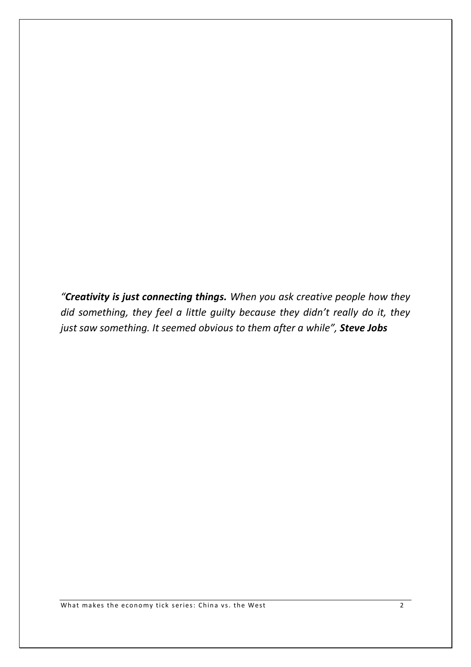*"Creativity is just connecting things. When you ask creative people how they did something, they feel a little guilty because they didn't really do it, they just saw something. It seemed obvious to them after a while", Steve Jobs*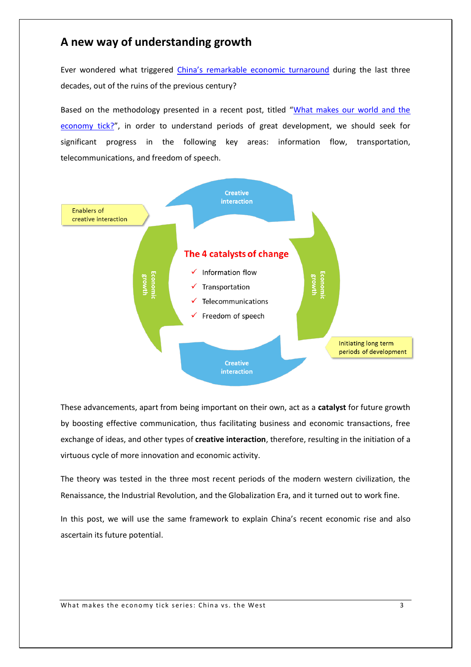## **A new way of understanding growth**

Ever wondered what triggered [China's remarkable econ](http://www.forecastingnet.com/The%20rise%20and%20fall%20of%20modern%20empires%20Part%20%20IIIb.ppt)omic turnaround during the last three decades, out of the ruins of the previous century?

Based on the methodology presented in a recent post, titled "[What makes our world and the](http://www.forecastingnet.com/apps/blog/entries/show/42611989-what-makes-our-world-and-the-economy-tick-)  [economy tick?](http://www.forecastingnet.com/apps/blog/entries/show/42611989-what-makes-our-world-and-the-economy-tick-)", in order to understand periods of great development, we should seek for significant progress in the following key areas: information flow, transportation, telecommunications, and freedom of speech.



These advancements, apart from being important on their own, act as a **catalyst** for future growth by boosting effective communication, thus facilitating business and economic transactions, free exchange of ideas, and other types of **creative interaction**, therefore, resulting in the initiation of a virtuous cycle of more innovation and economic activity.

The theory was tested in the three most recent periods of the modern western civilization, the Renaissance, the Industrial Revolution, and the Globalization Era, and it turned out to work fine.

In this post, we will use the same framework to explain China's recent economic rise and also ascertain its future potential.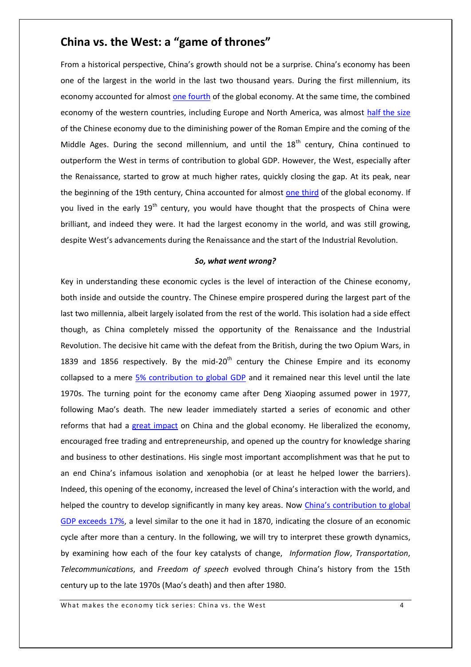# **China vs. the West: a "game of thrones"**

From a historical perspective, China's growth should not be a surprise. China's economy has been one of the largest in the world in the last two thousand years. During the first millennium, its economy accounted for almost [one fourth](http://www.ggdc.net/maddison/Historical_Statistics/horizontal-file_02-2010.xls) of the global economy. At the same time, the combined economy of the western countries, including Europe and North America, was almost [half the size](http://www.ggdc.net/maddison/Historical_Statistics/horizontal-file_02-2010.xls) of the Chinese economy due to the diminishing power of the Roman Empire and the coming of the Middle Ages. During the second millennium, and until the  $18<sup>th</sup>$  century, China continued to outperform the West in terms of contribution to global GDP. However, the West, especially after the Renaissance, started to grow at much higher rates, quickly closing the gap. At its peak, near the beginning of the 19th century, China accounted for almost [one third](http://www.ggdc.net/maddison/Historical_Statistics/horizontal-file_02-2010.xls) of the global economy. If you lived in the early 19<sup>th</sup> century, you would have thought that the prospects of China were brilliant, and indeed they were. It had the largest economy in the world, and was still growing, despite West's advancements during the Renaissance and the start of the Industrial Revolution.

#### *So, what went wrong?*

Key in understanding these economic cycles is the level of interaction of the Chinese economy, both inside and outside the country. The Chinese empire prospered during the largest part of the last two millennia, albeit largely isolated from the rest of the world. This isolation had a side effect though, as China completely missed the opportunity of the Renaissance and the Industrial Revolution. The decisive hit came with the defeat from the British, during the two Opium Wars, in 1839 and 1856 respectively. By the mid-20<sup>th</sup> century the Chinese Empire and its economy collapsed to a mere [5% contribution to global GDP](http://www.ggdc.net/maddison/Historical_Statistics/horizontal-file_02-2010.xls) and it remained near this level until the late 1970s. The turning point for the economy came after Deng Xiaoping assumed power in 1977, following Mao's death. The new leader immediately started a series of economic and other reforms that had a [great impact](http://en.wikipedia.org/wiki/Deng_Xiaoping) on China and the global economy. He liberalized the economy, encouraged free trading and entrepreneurship, and opened up the country for knowledge sharing and business to other destinations. His single most important accomplishment was that he put to an end China's infamous isolation and xenophobia (or at least he helped lower the barriers). Indeed, this opening of the economy, increased the level of China's interaction with the world, and helped the country to develop significantly in many key areas. Now [China's contribution to global](http://www.ggdc.net/maddison/Historical_Statistics/horizontal-file_02-2010.xls)  [GDP exceeds 17%,](http://www.ggdc.net/maddison/Historical_Statistics/horizontal-file_02-2010.xls) a level similar to the one it had in 1870, indicating the closure of an economic cycle after more than a century. In the following, we will try to interpret these growth dynamics, by examining how each of the four key catalysts of change, *Information flow*, *Transportation*, *Telecommunications*, and *Freedom of speech* evolved through China's history from the 15th century up to the late 1970s (Mao's death) and then after 1980.

What makes the economy tick series: China vs. the West 4 4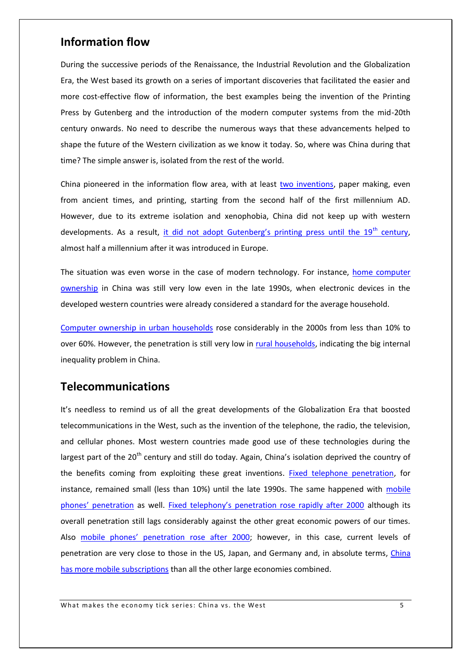#### **Information flow**

During the successive periods of the Renaissance, the Industrial Revolution and the Globalization Era, the West based its growth on a series of important discoveries that facilitated the easier and more cost-effective flow of information, the best examples being the invention of the Printing Press by Gutenberg and the introduction of the modern computer systems from the mid-20th century onwards. No need to describe the numerous ways that these advancements helped to shape the future of the Western civilization as we know it today. So, where was China during that time? The simple answer is, isolated from the rest of the world.

China pioneered in the information flow area, with at least [two inventions,](http://en.wikipedia.org/wiki/List_of_Chinese_inventions) paper making, even from ancient times, and printing, starting from the second half of the first millennium AD. However, due to its extreme isolation and xenophobia, China did not keep up with western developments. As a result, [it did not adopt Gutenberg's printing press until the 19](http://en.wikipedia.org/wiki/Global_spread_of_the_printing_press#East_Asia)<sup>th</sup> century, almost half a millennium after it was introduced in Europe.

The situation was even worse in the case of modern technology. For instance, home computer [ownership](http://firstmonday.org/ojs/index.php/fm/article/view/3767/3144) in China was still very low even in the late 1990s, when electronic devices in the developed western countries were already considered a standard for the average household.

[Computer ownership in urban households](http://firstmonday.org/ojs/index.php/fm/article/view/3767/3144) rose considerably in the 2000s from less than 10% to over 60%. However, the penetration is still very low in [rural households,](http://firstmonday.org/ojs/index.php/fm/article/view/3767/3144) indicating the big internal inequality problem in China.

### **Telecommunications**

It's needless to remind us of all the great developments of the Globalization Era that boosted telecommunications in the West, such as the invention of the telephone, the radio, the television, and cellular phones. Most western countries made good use of these technologies during the largest part of the 20<sup>th</sup> century and still do today. Again, China's isolation deprived the country of the benefits coming from exploiting these great inventions. [Fixed telephone penetration,](http://www.google.com/publicdata/explore?ds=emi9ik86jcuic_&ctype=l&strail=false&bcs=d&nselm=h&met_y=i91&scale_y=lin&ind_y=false&rdim=country&idim=country:CN&ifdim=country&hl=en_US&dl=en&ind=false&icfg) for instance, remained small (less than 10%) until the late 1990s. The same happened with mobile [phones' penetration](http://www.google.com/publicdata/explore?ds=emi9ik86jcuic_&ctype=l&strail=false&bcs=d&nselm=h&met_y=i911&scale_y=lin&ind_y=false&rdim=country&idim=country:CN&ifdim=country&hl=en_US&dl=en&ind=false&icfg) as well. [Fixed telephony's penetration rose rapidly after 2000](http://www.google.com/publicdata/explore?ds=emi9ik86jcuic_&ctype=l&strail=false&bcs=d&nselm=h&met_y=i91&scale_y=lin&ind_y=false&rdim=country&idim=country:CN:DE:JP:US&ifdim=country&hl=en_US&dl=en&ind=false&icfg) although its overall penetration still lags considerably against the other great economic powers of our times. Also m[obile phones' penetration](http://www.google.com/publicdata/explore?ds=emi9ik86jcuic_&ctype=l&strail=false&bcs=d&nselm=h&met_y=i911&scale_y=lin&ind_y=false&rdim=country&idim=country:CN:DE:JP:US&ifdim=country&hl=en_US&dl=en&ind=false&icfg) rose after 2000; however, in this case, current levels of penetration are very close to those in the US, Japan, and Germany and, in absolute terms, [China](http://www.google.com/publicdata/explore?ds=emi9ik86jcuic_&ctype=l&strail=false&bcs=d&nselm=h&met_y=i271&scale_y=lin&ind_y=false&rdim=country&idim=country:CN:DE:JP:US&ifdim=country&hl=en_US&dl=en&ind=false&icfg)  [has more mobile subscriptions](http://www.google.com/publicdata/explore?ds=emi9ik86jcuic_&ctype=l&strail=false&bcs=d&nselm=h&met_y=i271&scale_y=lin&ind_y=false&rdim=country&idim=country:CN:DE:JP:US&ifdim=country&hl=en_US&dl=en&ind=false&icfg) than all the other large economies combined.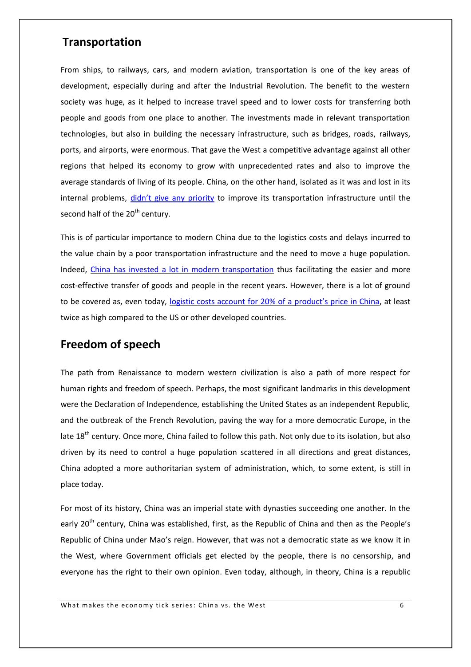#### **Transportation**

From ships, to railways, cars, and modern aviation, transportation is one of the key areas of development, especially during and after the Industrial Revolution. The benefit to the western society was huge, as it helped to increase travel speed and to lower costs for transferring both people and goods from one place to another. The investments made in relevant transportation technologies, but also in building the necessary infrastructure, such as bridges, roads, railways, ports, and airports, were enormous. That gave the West a competitive advantage against all other regions that helped its economy to grow with unprecedented rates and also to improve the average standards of living of its people. China, on the other hand, isolated as it was and lost in its internal problems, [didn't give any priority](http://en.wikipedia.org/wiki/Transport_in_China) to improve its transportation infrastructure until the second half of the 20<sup>th</sup> century.

This is of particular importance to modern China due to the logistics costs and delays incurred to the value chain by a poor transportation infrastructure and the need to move a huge population. Indeed, [China has invested a lot in modern transportation](http://en.wikipedia.org/wiki/Transport_in_China#Economic_benefits) thus facilitating the easier and more cost-effective transfer of goods and people in the recent years. However, there is a lot of ground to be covered as, even today, [logistic costs account for 20% of a product's price in China](http://en.wikipedia.org/wiki/Transport_in_China#History), at least twice as high compared to the US or other developed countries.

# **Freedom of speech**

The path from Renaissance to modern western civilization is also a path of more respect for human rights and freedom of speech. Perhaps, the most significant landmarks in this development were the Declaration of Independence, establishing the United States as an independent Republic, and the outbreak of the French Revolution, paving the way for a more democratic Europe, in the late 18<sup>th</sup> century. Once more, China failed to follow this path. Not only due to its isolation, but also driven by its need to control a huge population scattered in all directions and great distances, China adopted a more authoritarian system of administration, which, to some extent, is still in place today.

For most of its history, China was an imperial state with dynasties succeeding one another. In the early 20<sup>th</sup> century, China was established, first, as the Republic of China and then as the People's Republic of China under Mao's reign. However, that was not a democratic state as we know it in the West, where Government officials get elected by the people, there is no censorship, and everyone has the right to their own opinion. Even today, although, in theory, China is a republic

What makes the economy tick series: China vs. the West 6 6